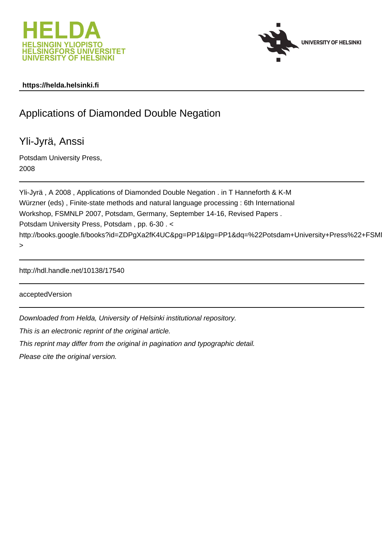



# **https://helda.helsinki.fi**

# Applications of Diamonded Double Negation

Yli-Jyrä, Anssi

Potsdam University Press, 2008

Yli-Jyrä , A 2008 , Applications of Diamonded Double Negation . in T Hanneforth & K-M Würzner (eds) , Finite-state methods and natural language processing : 6th International Workshop, FSMNLP 2007, Potsdam, Germany, September 14-16, Revised Papers . Potsdam University Press, Potsdam , pp. 6-30 . < http://books.google.fi/books?id=ZDPgXa2fK4UC&pg=PP1&lpg=PP1&dg=%22Potsdam+University+Press%22+FSM >

http://hdl.handle.net/10138/17540

acceptedVersion

Downloaded from Helda, University of Helsinki institutional repository.

This is an electronic reprint of the original article.

This reprint may differ from the original in pagination and typographic detail.

Please cite the original version.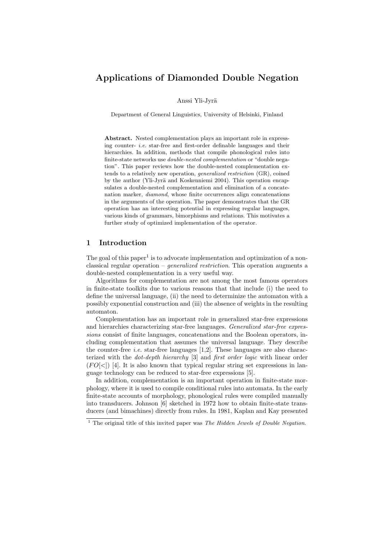# Applications of Diamonded Double Negation

Anssi Yli-Jyrä

Department of General Linguistics, University of Helsinki, Finland

Abstract. Nested complementation plays an important role in expressing counter- i.e. star-free and first-order definable languages and their hierarchies. In addition, methods that compile phonological rules into finite-state networks use double-nested complementation or "double negation". This paper reviews how the double-nested complementation extends to a relatively new operation, generalized restriction (GR), coined by the author (Yli-Jyrä and Koskenniemi 2004). This operation encapsulates a double-nested complementation and elimination of a concatenation marker, diamond, whose finite occurrences align concatenations in the arguments of the operation. The paper demonstrates that the GR operation has an interesting potential in expressing regular languages, various kinds of grammars, bimorphisms and relations. This motivates a further study of optimized implementation of the operator.

# 1 Introduction

The goal of this paper<sup>1</sup> is to advocate implementation and optimization of a nonclassical regular operation – generalized restriction. This operation augments a double-nested complementation in a very useful way.

Algorithms for complementation are not among the most famous operators in finite-state toolkits due to various reasons that that include (i) the need to define the universal language, (ii) the need to determinize the automaton with a possibly exponential construction and (iii) the absence of weights in the resulting automaton.

Complementation has an important role in generalized star-free expressions and hierarchies characterizing star-free languages. Generalized star-free expressions consist of finite languages, concatenations and the Boolean operators, including complementation that assumes the universal language. They describe the counter-free *i.e.* star-free languages  $[1,2]$ . These languages are also characterized with the dot-depth hierarchy [3] and first order logic with linear order  $(FO[\leq])$  [4]. It is also known that typical regular string set expressions in language technology can be reduced to star-free expressions [5].

In addition, complementation is an important operation in finite-state morphology, where it is used to compile conditional rules into automata. In the early finite-state accounts of morphology, phonological rules were compiled manually into transducers. Johnson [6] sketched in 1972 how to obtain finite-state transducers (and bimachines) directly from rules. In 1981, Kaplan and Kay presented

 $1$  The original title of this invited paper was *The Hidden Jewels of Double Negation*.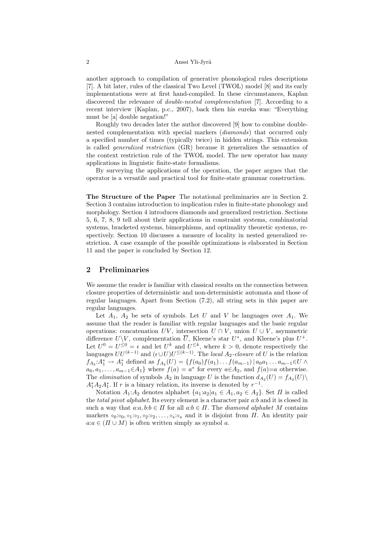another approach to compilation of generative phonological rules descriptions [7]. A bit later, rules of the classical Two Level (TWOL) model [8] and its early implementations were at first hand-compiled. In these circumstances, Kaplan discovered the relevance of *double-nested complementation* [7]. According to a recent interview (Kaplan, p.c., 2007), back then his eureka was: "Everything must be [a] double negation!"

Roughly two decades later the author discovered [9] how to combine doublenested complementation with special markers (diamonds) that occurred only a specified number of times (typically twice) in hidden strings. This extension is called generalized restriction (GR) because it generalizes the semantics of the context restriction rule of the TWOL model. The new operator has many applications in linguistic finite-state formalisms.

By surveying the applications of the operation, the paper argues that the operator is a versatile and practical tool for finite-state grammar construction.

The Structure of the Paper The notational preliminaries are in Section 2. Section 3 contains introduction to implication rules in finite-state phonology and morphology. Section 4 introduces diamonds and generalized restriction. Sections 5, 6, 7, 8, 9 tell about their applications in constraint systems, combinatorial systems, bracketed systems, bimorphisms, and optimality theoretic systems, respectively. Section 10 discusses a measure of locality in nested generalized restriction. A case example of the possible optimizations is elaborated in Section 11 and the paper is concluded by Section 12.

# 2 Preliminaries

We assume the reader is familiar with classical results on the connection between closure properties of deterministic and non-deterministic automata and those of regular languages. Apart from Section (7.2), all string sets in this paper are regular languages.

Let  $A_1$ ,  $A_2$  be sets of symbols. Let U and V be languages over  $A_1$ . We assume that the reader is familiar with regular languages and the basic regular operations: concatenation UV, intersection  $U \cap V$ , union  $U \cup V$ , asymmetric difference  $U\backslash V$ , complementation  $\overline{U}$ , Kleene's star  $U^*$ , and Kleene's plus  $U^+$ . Let  $U^0 = U^{\leq 0} = \epsilon$  and let  $U^k$  and  $U^{\leq k}$ , where  $k > 0$ , denote respectively the languages  $UU^{(k-1)}$  and  $(\epsilon \cup U)U^{\leq (k-1)}$ . The *local*  $A_2$ -closure of U is the relation  $f_{A_2}:A_1^* \to A_1^*$  defined as  $f_{A_2}(U) = \{f(a_0)f(a_1)...f(a_{m-1}) \mid a_0a_1...a_{m-1} \in U \land$  $a_0, a_1, \ldots, a_{m-1} \in A_1$  where  $f(a) = a^*$  for every  $a \in A_2$ , and  $f(a)=a$  otherwise. The *elimination* of symbols  $A_2$  in language U is the function  $d_{A_2}(U) = f_{A_2}(U)\setminus$  $A_1^* A_2 A_1^*$ . If r is a binary relation, its inverse is denoted by  $r^{-1}$ .

Notation  $A_1:A_2$  denotes alphabet  $\{a_1:a_2|a_1 \in A_1, a_2 \in A_2\}$ . Set  $\Pi$  is called the *total pivot alphabet*. Its every element is a character pair a:b and it is closed in such a way that  $a:a,b:b \in \Pi$  for all  $a:b \in \Pi$ . The *diamond alphabet* M contains markers  $\circ_0:\circ_0,\circ_1:\circ_1,\circ_2:\circ_2,\ldots,\circ_s:\circ_s$  and it is disjoint from  $\Pi$ . An identity pair  $a:a \in (\Pi \cup M)$  is often written simply as symbol a.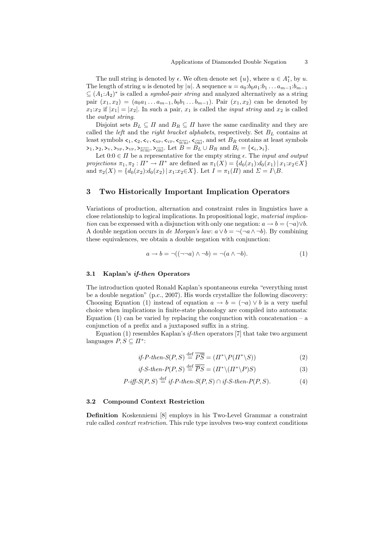The null string is denoted by  $\epsilon$ . We often denote set  $\{u\}$ , where  $u \in A_1^*$ , by  $u$ . The length of string u is denoted by |u|. A sequence  $u = a_0 : b_0 a_1 : b_1 ... a_{m-1} : b_{m-1}$  $\subseteq (A_1:A_2)^*$  is called a *symbol-pair string* and analyzed alternatively as a string pair  $(x_1, x_2) = (a_0a_1 \ldots a_{m-1}, b_0b_1 \ldots b_{m-1})$ . Pair  $(x_1, x_2)$  can be denoted by  $x_1:x_2$  if  $|x_1|=|x_2|$ . In such a pair,  $x_1$  is called the *input string* and  $x_2$  is called the output string.

Disjoint sets  $B_L \subseteq \Pi$  and  $B_R \subseteq \Pi$  have the same cardinality and they are called the *left* and the *right bracket alphabets*, respectively. Set  $B_L$  contains at least symbols  $\lt_1, \lt_2, \lt_{v}, \lt_{\text{NP}}, \lt_{\text{VP}}, \lt_{\text{SUBJ}}$ ,  $\lt_{\overrightarrow{\text{SUBJ}}}$ , and set  $B_R$  contains at least symbols  $\sum_{1} \sum_{\nu} \sum_{\nu} \sum_{\nu} \sum_{\nu} \sum_{\nu} \sum_{\nu} \sum_{\nu}$ ,  $\sum_{\nu} \sum_{\nu}$ , Let  $B = B_L \cup B_R$  and  $B_i = {\{\langle i, \rangle_i\}}$ .

Let  $0:0 \in \Pi$  be a representative for the empty string  $\epsilon$ . The *input and output* projections  $\pi_1, \pi_2 : \Pi^* \to \Pi^*$  are defined as  $\pi_1(X) = \{d_0(x_1): d_0(x_1) | x_1 : x_2 \in X\}$ and  $\pi_2(X) = \{d_0(x_2): d_0(x_2) | x_1 : x_2 \in X\}$ . Let  $I = \pi_1(\Pi)$  and  $\Sigma = I \backslash B$ .

# 3 Two Historically Important Implication Operators

Variations of production, alternation and constraint rules in linguistics have a close relationship to logical implications. In propositional logic, material implication can be expressed with a disjunction with only one negation:  $a \rightarrow b = (\neg a) \lor b$ . A double negation occurs in de Morgan's law:  $a \vee b = \neg(\neg a \wedge \neg b)$ . By combining these equivalences, we obtain a double negation with conjunction:

$$
a \to b = \neg((\neg\neg a) \land \neg b) = \neg(a \land \neg b). \tag{1}
$$

#### 3.1 Kaplan's if-then Operators

The introduction quoted Ronald Kaplan's spontaneous eureka "everything must be a double negation" (p.c., 2007). His words crystallize the following discovery: Choosing Equation (1) instead of equation  $a \to b = (\neg a) \lor b$  is a very useful choice when implications in finite-state phonology are compiled into automata: Equation  $(1)$  can be varied by replacing the conjunction with concatenation – a conjunction of a prefix and a juxtaposed suffix in a string.

Equation (1) resembles Kaplan's  $if$ -then operators [7] that take two argument languages  $P, S \subseteq \Pi^*$ :

$$
if-P-then-S(P, S) \stackrel{\text{def}}{=} \overline{P\overline{S}} = (\Pi^* \backslash P(\Pi^* \backslash S))
$$
\n(2)

$$
if-S-then-P(P,S) \stackrel{\text{def}}{=} \overline{PS} = (\Pi^* \setminus (\Pi^* \setminus P)S) \tag{3}
$$

$$
P\text{-}iff\text{-}S(P,S) \stackrel{\text{def}}{=} \text{if-}P\text{-}then\text{-}S(P,S) \cap \text{if-}S\text{-}then\text{-}P(P,S). \tag{4}
$$

#### 3.2 Compound Context Restriction

Definition Koskenniemi [8] employs in his Two-Level Grammar a constraint rule called context restriction. This rule type involves two-way context conditions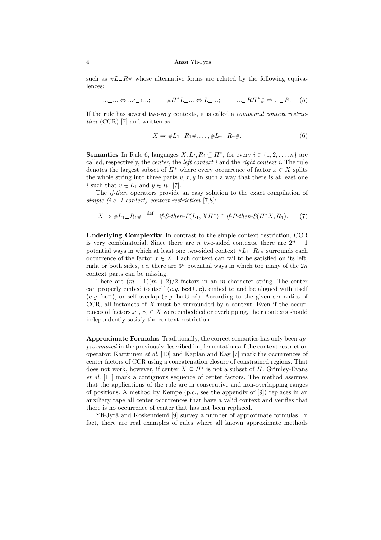such as  $\#L_R\#$  whose alternative forms are related by the following equivalences:

$$
\dots \_\dots \Leftrightarrow \dots \in \_ \epsilon \dots; \qquad \# \Pi^* \mathcal{L} \_ \dots \Leftrightarrow \mathcal{L} \_ \dots; \qquad \dots \_ R \Pi^* \# \Leftrightarrow \dots \_ R. \tag{5}
$$

If the rule has several two-way contexts, it is called a compound context restriction (CCR) [7] and written as

$$
X \Rightarrow \#L_1 = R_1 \#, \dots, \#L_n = R_n \#.
$$
\n<sup>(6)</sup>

**Semantics** In Rule 6, languages  $X, L_i, R_i \subseteq \Pi^*$ , for every  $i \in \{1, 2, ..., n\}$  are called, respectively, the *center*, the *left context i* and the *right context i*. The rule denotes the largest subset of  $\Pi^*$  where every occurrence of factor  $x \in X$  splits the whole string into three parts  $v, x, y$  in such a way that there is at least one i such that  $v \in L_1$  and  $y \in R_1$  [7].

The if-then operators provide an easy solution to the exact compilation of simple (i.e. 1-context) context restriction [7,8]:

$$
X \Rightarrow \#L_1 \_ R_1 \# \stackrel{\text{def}}{=} \text{if-S-then-P}(L_1, X \Pi^*) \cap \text{if-P-then-S}(\Pi^* X, R_1). \tag{7}
$$

Underlying Complexity In contrast to the simple context restriction, CCR is very combinatorial. Since there are n two-sided contexts, there are  $2<sup>n</sup> - 1$ potential ways in which at least one two-sided context  $\#L_i = R_i \#$  surrounds each occurrence of the factor  $x \in X$ . Each context can fail to be satisfied on its left, right or both sides, *i.e.* there are  $3<sup>n</sup>$  potential ways in which too many of the  $2n$ context parts can be missing.

There are  $(m + 1)(m + 2)/2$  factors in an *m*-character string. The center can properly embed to itself  $(e,q, \text{bcd} \cup \text{c})$ , embed to and be aligned with itself  $(e,q.$  bc<sup>+</sup>), or self-overlap (e.g. bc ∪ cd). According to the given semantics of  $CCR, all instances of  $X$  must be surrounded by a context. Even if the occur$ rences of factors  $x_1, x_2 \in X$  were embedded or overlapping, their contexts should independently satisfy the context restriction.

Approximate Formulas Traditionally, the correct semantics has only been approximated in the previously described implementations of the context restriction operator: Karttunen et al. [10] and Kaplan and Kay [7] mark the occurrences of center factors of CCR using a concatenation closure of constrained regions. That does not work, however, if center  $X \subseteq \Pi^*$  is not a subset of  $\Pi$ . Grimley-Evans et al. [11] mark a contiguous sequence of center factors. The method assumes that the applications of the rule are in consecutive and non-overlapping ranges of positions. A method by Kempe (p.c., see the appendix of [9]) replaces in an auxiliary tape all center occurrences that have a valid context and verifies that there is no occurrence of center that has not been replaced.

Yli-Jyrä and Koskenniemi [9] survey a number of approximate formulas. In fact, there are real examples of rules where all known approximate methods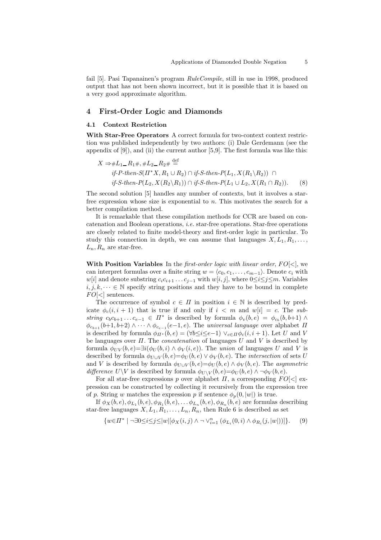fail [5]. Pasi Tapanainen's program RuleCompile, still in use in 1998, produced output that has not been shown incorrect, but it is possible that it is based on a very good approximate algorithm.

### 4 First-Order Logic and Diamonds

#### 4.1 Context Restriction

With Star-Free Operators A correct formula for two-context context restriction was published independently by two authors: (i) Dale Gerdemann (see the appendix of  $[9]$ ), and  $(ii)$  the current author  $[5,9]$ . The first formula was like this:

$$
X \Rightarrow \#L_1 = R_1 \#, \#L_2 = R_2 \# \stackrel{\text{def}}{=} \nif-P\text{-}then-S(\Pi^* X, R_1 \cup R_2) \cap if-S\text{-}then-P(L_1, X(R_1 \setminus R_2)) \cap \nif-S\text{-}then-P(L_2, X(R_2 \setminus R_1)) \cap if-S\text{-}then-P(L_1 \cup L_2, X(R_1 \cap R_2)).
$$
\n(8)

The second solution [5] handles any number of contexts, but it involves a starfree expression whose size is exponential to n. This motivates the search for a better compilation method.

It is remarkable that these compilation methods for CCR are based on concatenation and Boolean operations, i.e. star-free operations. Star-free operations are closely related to finite model-theory and first-order logic in particular. To study this connection in depth, we can assume that languages  $X, L_1, R_1, \ldots$ ,  $L_n, R_n$  are star-free.

With Position Variables In the *first-order logic with linear order, FO* $\leq$ , we can interpret formulas over a finite string  $w = \langle c_0,c_1,\ldots,c_{m-1}\rangle$ . Denote  $c_i$  with w[i] and denote substring  $c_i c_{i+1} \ldots c_{j-1}$  with w[i, j], where  $0 \le i \le j \le m$ . Variables  $i, j, k, \dots \in \mathbb{N}$  specify string positions and they have to be bound in complete  $FO[<]$  sentences.

The occurrence of symbol  $c \in \Pi$  in position  $i \in \mathbb{N}$  is described by predicate  $\phi_c(i, i + 1)$  that is true if and only if  $i < m$  and  $w[i] = c$ . The substring  $c_b c_{b+1} \ldots c_{e-1} \in \Pi^*$  is described by formula  $\phi_v(b, e) = \phi_{c_b}(b, b+1) \wedge$  $\phi_{c_{b+1}}(b+1,b+2) \wedge \cdots \wedge \phi_{c_{e-1}}(e-1,e)$ . The universal language over alphabet  $\Pi$ is described by formula  $\phi_{\Pi^*}(b,e) = (\forall b \le i \le e-1) \vee_{c \in \Pi} \phi_c(i,i+1)$ . Let U and V be languages over  $\Pi$ . The *concatenation* of languages  $U$  and  $V$  is described by formula  $\phi_{UV}(b,e)=\exists i(\phi_{U}(b,i) \wedge \phi_{V}(i,e))$ . The *union* of languages U and V is described by formula  $\phi_{U\cup V}(b,e)=\phi_U(b,e)\vee \phi_V(b,e)$ . The *intersection* of sets U and V is described by formula  $\phi_{U\cup V}(b,e) = \phi_U(b,e) \wedge \phi_V(b,e)$ . The asymmetric difference  $U\backslash V$  is described by formula  $\phi_{U\backslash V}(b,e)=\phi_U(b,e)\wedge \neg \phi_V(b,e)$ .

For all star-free expressions p over alphabet  $\Pi$ , a corresponding  $FO<|$  expression can be constructed by collecting it recursively from the expression tree of p. String w matches the expression p if sentence  $\phi_p(0, |w|)$  is true.

If  $\phi_X(b,e), \phi_{L_1}(b,e), \phi_{R_1}(b,e), \ldots \phi_{L_n}(b,e), \phi_{R_n}(b,e)$  are formulas describing star-free languages  $X, L_1, R_1, \ldots, L_n, R_n$ , then Rule 6 is described as set

$$
\{w \in \Pi^* \mid \neg \exists 0 \le i \le j \le |w| [\phi_X(i,j) \land \neg \lor_{i=1}^n (\phi_{L_i}(0,i) \land \phi_{R_i}(j,|w|))]\}.
$$
 (9)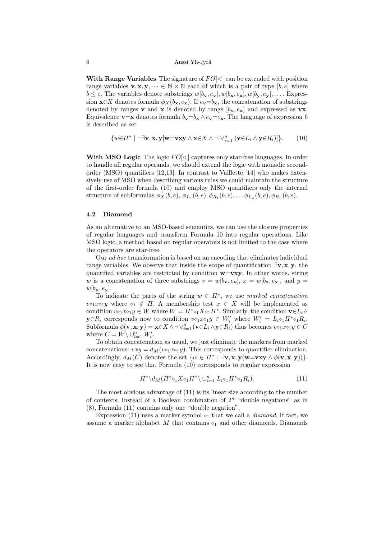With Range Variables The signature of  $FO<$  can be extended with position range variables  $\mathbf{v}, \mathbf{x}, \mathbf{y}, \dots \in \mathbb{N} \times \mathbb{N}$  each of which is a pair of type  $[b, e]$  where  $b \leq e$ . The variables denote substrings  $w[b_{\mathbf{v}}, e_{\mathbf{v}}], w[b_{\mathbf{x}}, e_{\mathbf{x}}], w[b_{\mathbf{y}}, e_{\mathbf{y}}], \dots$  Expression  $\mathbf{x} \in X$  denotes formula  $\phi_X(b_\mathbf{x},e_\mathbf{x})$ . If  $e_\mathbf{v}=b_\mathbf{x}$ , the concatenation of substrings denoted by ranges **v** and **x** is denoted by range  $[b_{v}, e_{x}]$  and expressed as **vx**. Equivalence **v**=**x** denotes formula  $b_v = b_x \wedge e_v = e_x$ . The language of expression 6 is described as set

$$
\{w \in \Pi^* \mid \neg \exists \mathbf{v}, \mathbf{x}, \mathbf{y}[\mathbf{w} = \mathbf{v}\mathbf{x}\mathbf{y} \land \mathbf{x} \in X \land \neg \lor_{i=1}^n (\mathbf{v} \in L_i \land \mathbf{y} \in R_i)]\}.
$$
 (10)

With MSO Logic The logic  $FO[<]$  captures only star-free languages. In order to handle all regular operands, we should extend the logic with monadic secondorder (MSO) quantifiers [12,13]. In contrast to Vaillette [14] who makes extensively use of MSO when describing various rules we could maintain the structure of the first-order formula (10) and employ MSO quantifiers only the internal structure of subformulas  $\phi_X(b,e)$ ,  $\phi_{L_1}(b,e)$ ,  $\phi_{R_1}(b,e)$ , ...  $\phi_{L_n}(b,e)$ ,  $\phi_{R_n}(b,e)$ .

#### 4.2 Diamond

As an alternative to an MSO-based semantics, we can use the closure properties of regular languages and transform Formula 10 into regular operations. Like MSO logic, a method based on regular operators is not limited to the case where the operators are star-free.

Our ad hoc transformation is based on an encoding that eliminates individual range variables. We observe that inside the scope of quantification  $\exists v, x, y$ , the quantified variables are restricted by condition  $w=vxy$ . In other words, string w is a concatenation of three substrings  $v = w[b_x, e_y], x = w[b_x, e_x],$  and  $y = w[b_x, e_y]$  $w[b_{y}, e_{y}].$ 

To indicate the parts of the string  $w \in \Pi^*$ , we use marked concatenation  $v \diamond_1 x \diamond_1 y$  where  $\diamond_1 \notin \Pi$ . A membership test  $x \in X$  will be implemented as condition  $v \circ_1 x \circ_1 y \in W$  where  $W = \prod^* \circ_1 X \circ_1 \Pi^*$ . Similarly, the condition  $\mathbf{v} \in L_i \wedge$  $\mathbf{y} \in R_i$  corresponds now to condition  $v \circ_1 x \circ_1 y \in W'_i$  where  $W'_i = L_i \circ_1 \Pi^* \circ_1 R_i$ . Subformula  $\phi(\mathbf{v}, \mathbf{x}, \mathbf{y}) = \mathbf{x} \in X \land \neg \lor_{i=1}^{n} (\mathbf{v} \in L_i \land \mathbf{y} \in R_i)$  thus becomes  $v \circ_1 x \circ_1 y \in C$ where  $C = W \setminus \bigcup_{i=1}^n W'_i$ .

To obtain concatenation as usual, we just eliminate the markers from marked concatenations:  $vxy = d_M(v \circ_1 x \circ_1 y)$ . This corresponds to quantifier elimination. Accordingly,  $d_M(C)$  denotes the set  $\{w \in \Pi^* \mid \exists v, x, y(w=vxy \land \phi(v,x,y))\}.$ It is now easy to see that Formula (10) corresponds to regular expression

$$
\Pi^* \backslash d_M(\Pi^* \circ_1 X \circ_1 \Pi^* \backslash \cup_{i=1}^n L_i \circ_1 \Pi^* \circ_1 R_i). \tag{11}
$$

The most obvious advantage of (11) is its linear size according to the number of contexts. Instead of a Boolean combination of  $2^n$  "double negations" as in (8), Formula (11) contains only one "double negation".

Expression (11) uses a marker symbol  $\circ_1$  that we call a *diamond*. If fact, we assume a marker alphabet M that contains  $\circ_1$  and other diamonds. Diamonds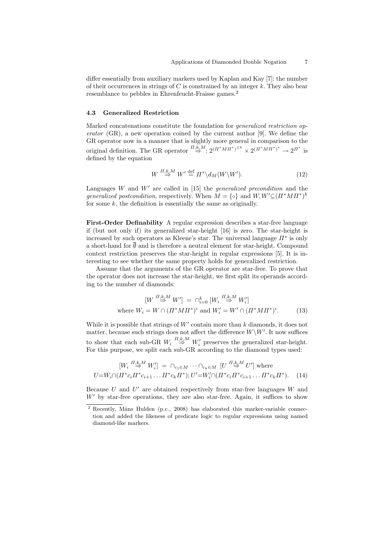differ essentially from auxiliary markers used by Kaplan and Kay [7]: the number of their occurrences in strings of  $C$  is constrained by an integer  $k$ . They also bear resemblance to pebbles in Ehrenfeucht-Fraisse games.<sup>2</sup>

#### 4.3 Generalized Restriction

Marked concatenations constitute the foundation for *generalized restriction op*erator  $(GR)$ , a new operation coined by the current author [9]. We define the GR operator now in a manner that is slightly more general in comparison to the original definition. The GR operator  $\stackrel{\prod,k,M}{\Rightarrow} 2^{(\Pi^*MH^*)^{\leq k}} \times 2^{(\Pi^*MH^*)^*} \to 2^{\Pi^*}$  is defined by the equation

$$
W \stackrel{\Pi,k,M}{\Rightarrow} W' \stackrel{\text{def}}{=} \Pi^* \backslash d_M(W \backslash W'). \tag{12}
$$

Languages  $W$  and  $W'$  are called in [15] the *generalized precondition* and the generalized postcondition, respectively. When  $M = \{ \circ \}$  and  $W, W' \subseteq (H^*M \Pi^*)^k$ for some  $k$ , the definition is essentially the same as originally.

First-Order Definability A regular expression describes a star-free language if (but not only if) its generalized star-height [16] is zero. The star-height is increased by such operators as Kleene's star. The universal language  $\Pi^*$  is only a short-hand for  $\emptyset$  and is therefore a neutral element for star-height. Compound context restriction preserves the star-height in regular expressions [5]. It is interesting to see whether the same property holds for generalized restriction.

Assume that the arguments of the GR operator are star-free. To prove that the operator does not increase the star-height, we first split its operands according to the number of diamonds:

$$
[W \stackrel{\Pi,k,M}{\Rightarrow} W'] = \cap_{i=0}^k [W_i \stackrel{\Pi,k,M}{\Rightarrow} W_i']
$$
  
where  $W_i = W \cap (\Pi^* M \Pi^*)^i$  and  $W_i' = W' \cap (\Pi^* M \Pi^*)^i$ . (13)

While it is possible that strings of  $W'$  contain more than  $k$  diamonds, it does not matter, because such strings does not affect the difference  $W\backslash W'$ . It now suffices to show that each sub-GR  $W_i \stackrel{\Pi,k,M}{\Rightarrow} W'_i$  preserves the generalized star-height. For this purpose, we split each sub-GR according to the diamond types used:

$$
[W_i \stackrel{\Pi, k, M}{\Rightarrow} W'_i] = \bigcap_{c_1 \in M} \cdots \bigcap_{c_k \in M} [U \stackrel{\Pi, k, M}{\Rightarrow} U'] \text{ where}
$$
  
 
$$
U = W_i \cap (\Pi^* c_i \Pi^* c_{i+1} \dots \Pi^* c_k \Pi^*); U' = W'_i \cap (\Pi^* c_i \Pi^* c_{i+1} \dots \Pi^* c_k \Pi^*).
$$
 (14)

Because  $U$  and  $U'$  are obtained respectively from star-free languages  $W$  and  $W'$  by star-free operations, they are also star-free. Again, it suffices to show

 $2$  Recently, Måns Hulden (p.c., 2008) has elaborated this marker-variable connection and added the likeness of predicate logic to regular expressions using named diamond-like markers.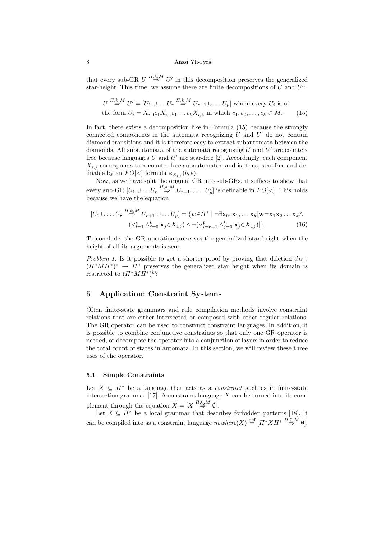that every sub-GR  $U \stackrel{\overline{H},k,M}{\Rightarrow} U'$  in this decomposition preserves the generalized star-height. This time, we assume there are finite decompositions of  $U$  and  $U'$ :

$$
U \stackrel{\overline{H},k,M}{\Rightarrow} U' = [U_1 \cup \ldots \cup_r \stackrel{\overline{H},k,M}{\Rightarrow} U_{r+1} \cup \ldots \cup_r]
$$
 where every  $U_i$  is of  
the form  $U_i = X_{i,0}c_1X_{i,1}c_1 \ldots c_kX_{i,k}$  in which  $c_1, c_2, \ldots, c_k \in M$ . (15)

In fact, there exists a decomposition like in Formula (15) because the strongly connected components in the automata recognizing  $U$  and  $U'$  do not contain diamond transitions and it is therefore easy to extract subautomata between the diamonds. All subautomata of the automata recognizing  $U$  and  $U'$  are counterfree because languages  $U$  and  $U'$  are star-free [2]. Accordingly, each component  $X_{i,j}$  corresponds to a counter-free subautomaton and is, thus, star-free and definable by an  $FO[<]$  formula  $\phi_{X_{i,j}}(b,e)$ .

Now, as we have split the original GR into sub-GRs, it suffices to show that every sub-GR  $[U_1 \cup \ldots U_r \stackrel{\Pi,k,M}{\Rightarrow} U_{r+1} \cup \ldots U'_p]$  is definable in  $FO[<]$ . This holds because we have the equation

$$
[U_1 \cup \ldots \cup_r \stackrel{\Pi, k, M}{\Rightarrow} U_{r+1} \cup \ldots \cup_r] = \{ w \in \Pi^* \mid \neg \exists \mathbf{x}_0, \mathbf{x}_1, \ldots, \mathbf{x}_k [\mathbf{w} = \mathbf{x}_1 \mathbf{x}_2 \ldots \mathbf{x}_k \land
$$

$$
(\vee_{i=1}^r \wedge_{j=0}^k \mathbf{x}_j \in X_{i,j}) \wedge \neg (\vee_{i=r+1}^p \wedge_{j=0}^k \mathbf{x}_j \in X_{i,j}) ] \}.
$$
 (16)

To conclude, the GR operation preserves the generalized star-height when the height of all its arguments is zero.

Problem 1. Is it possible to get a shorter proof by proving that deletion  $d_M$ :  $(\Pi^*MH^*)^* \to \Pi^*$  preserves the generalized star height when its domain is restricted to  $(\Pi^* M \Pi^*)^k$ ?

# 5 Application: Constraint Systems

Often finite-state grammars and rule compilation methods involve constraint relations that are either intersected or composed with other regular relations. The GR operator can be used to construct constraint languages. In addition, it is possible to combine conjunctive constraints so that only one GR operator is needed, or decompose the operator into a conjunction of layers in order to reduce the total count of states in automata. In this section, we will review these three uses of the operator.

#### 5.1 Simple Constraints

Let  $X \subseteq \Pi^*$  be a language that acts as a *constraint* such as in finite-state intersection grammar [17]. A constraint language  $X$  can be turned into its complement through the equation  $\overline{X} = [X \stackrel{\Pi,0,M}{\Rightarrow} \emptyset].$ 

Let  $X \subseteq \overline{\Pi^*}$  be a local grammar that describes forbidden patterns [18]. It can be compiled into as a constraint language  $\textit{nowhere}(X) \stackrel{\text{def}}{=} [I^* X I^* \stackrel{\textit{H},0,\textit{M}}{\rightarrow} \emptyset].$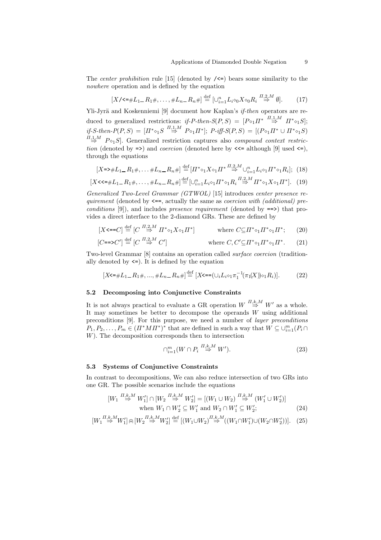The *center prohibition* rule [15] (denoted by  $\angle$  <=) bears some similarity to the nowhere operation and is defined by the equation

$$
[X/\langle\mathbf{S}^{\#}L_1 \mathbf{I} \mathbf{I}^{\#}, \dots, \#L_n \mathbf{I}^{\#}] \stackrel{\text{def}}{=} [\cup_{i=1}^n L_i \circ_0 X \circ_0 R_i \stackrel{\Pi,2,M}{\Rightarrow} \emptyset]. \tag{17}
$$

Yli-Jyrä and Koskenniemi [9] document how Kaplan's if-then operators are reduced to generalized restrictions: if-P-then- $S(P, S) = [P \circ_1 \Pi^* \stackrel{\Pi, 1, M}{\Rightarrow} \Pi^* \circ_1 S];$ if-S-then- $P(P, S) = [I^* \circ_1 S \stackrel{\Pi, 1, M}{\Rightarrow} P \circ_1 \Pi^*]; P \cdot i f f \cdot S(P, S) = [(P \circ_1 \Pi^* \cup \Pi^* \circ_1 S)$  $\overrightarrow{n_{\Rightarrow}}$  P<sup>0</sup><sub>1</sub>S. Generalized restriction captures also *compound context restric*tion (denoted by  $\Rightarrow$ ) and *coercion* (denoted here by  $\lt\lt\lt$  although [9] used  $\lt\gt$ ], through the equations

$$
[X \to \#L_1 - R_1 \# , \dots \#L_n - R_n \#] \stackrel{\text{def}}{=} [H^* \circ_1 X \circ_1 H^* \stackrel{\Pi, 2, M}{\to} \cup_{i=1}^n L_i \circ_1 H^* \circ_1 R_i]; \tag{18}
$$

$$
[X \leq \neq L_1 - R_1 \neq \ldots, \neq L_n - R_n \neq] \stackrel{\text{def}}{=} [\cup_{i=1}^n L_i \circ_1 \Pi^* \circ_1 R_i \stackrel{\Pi,2,M}{\Rightarrow} \Pi^* \circ_1 X \circ_1 \Pi^*]. \tag{19}
$$

Generalized Two-Level Grammar (GTWOL) [15] introduces center presence requirement (denoted by  $\leq =$ , actually the same as *coercion with (additional)* preconditions  $[9]$ , and includes presence requirement (denoted by  $==$ ) that provides a direct interface to the 2-diamond GRs. These are defined by

$$
[X \leq =C] \stackrel{\text{def}}{=} [C \stackrel{\Pi,2,M}{\Rightarrow} \Pi^* \circ_1 X \circ_1 \Pi^*]
$$
 where  $C \subseteq \Pi^* \circ_1 \Pi^* \circ_1 \Pi^*$ ; (20)

$$
[C ==> C'] \stackrel{\text{def}}{=} [C \stackrel{\Pi,2,M}{\Rightarrow} C'] \qquad \text{where } C, C' \subseteq H^* \circ_1 H^* \circ_1 H^*.
$$
 (21)

Two-level Grammar [8] contains an operation called surface coercion (traditionally denoted by  $\leq$ ). It is defined by the equation

$$
[X\leq \#L_1 - R_1 \#, \dots, \#L_n - R_n \#] \stackrel{\text{def}}{=} [X\leq = (\cup_i L_i \circ_1 \pi_1^{-1}(\pi_1(X)) \circ_1 R_i)].
$$
 (22)

# 5.2 Decomposing into Conjunctive Constraints

It is not always practical to evaluate a GR operation  $W \stackrel{\Pi,k,M}{\Rightarrow} W'$  as a whole. It may sometimes be better to decompose the operands  $W$  using additional preconditions [9]. For this purpose, we need a number of layer preconditions  $P_1, P_2, \ldots, P_m \in (H^*M H^*)^*$  that are defined in such a way that  $W \subseteq \bigcup_{i=1}^m (P_i \cap$ W). The decomposition corresponds then to intersection

$$
\cap_{i=1}^m (W \cap P_i \stackrel{\Pi,k,M}{\Rightarrow} W'). \tag{23}
$$

#### 5.3 Systems of Conjunctive Constraints

In contrast to decompositions, We can also reduce intersection of two GRs into one GR. The possible scenarios include the equations

$$
\begin{aligned} [W_1 \stackrel{\Pi,k,M}{\Rightarrow} W_1'] \cap [W_2 \stackrel{\Pi,k,M}{\Rightarrow} W_2'] &= [(W_1 \cup W_2) \stackrel{\Pi,k,M}{\Rightarrow} (W_1' \cup W_2')] \\ \text{when } W_1 \cap W_2' \subseteq W_1' \text{ and } W_2 \cap W_1' \subseteq W_2'; \end{aligned} \tag{24}
$$

$$
[W_1 \mathop{\Rightarrow}^{II,k,M} W_1'] \oplus [W_2 \mathop{\Rightarrow}^{II,k,M} W_2'] \stackrel{\text{def}}{=} [(W_1 \cup W_2) \mathop{\Rightarrow}^{II,k,M} ((W_1 \cap W_1') \cup (W_2 \cap W_2'))]. \tag{25}
$$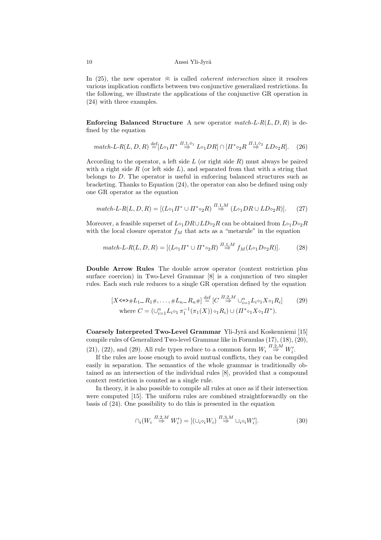In (25), the new operator  $\oplus$  is called *coherent intersection* since it resolves various implication conflicts between two conjunctive generalized restrictions. In the following, we illustrate the applications of the conjunctive GR operation in (24) with three examples.

**Enforcing Balanced Structure** A new operator  $match-L-R(L,D,R)$  is defined by the equation

$$
match-L-R(L, D, R) \stackrel{\text{def}}{=} [L \circ_1 \Pi^* \stackrel{\Pi, 1, \circ_1}{\Rightarrow} L \circ_1 DR] \cap [\Pi^* \circ_2 R \stackrel{\Pi, 1, \circ_2}{\Rightarrow} LD \circ_2 R]. \tag{26}
$$

According to the operator, a left side  $L$  (or right side  $R$ ) must always be paired with a right side  $R$  (or left side  $L$ ), and separated from that with a string that belongs to D. The operator is useful in enforcing balanced structures such as bracketing. Thanks to Equation (24), the operator can also be defined using only one GR operator as the equation

$$
match-L-R(L, D, R) = [(L \circ_1 \Pi^* \cup \Pi^* \circ_2 R) \stackrel{\Pi, 1, M}{\Rightarrow} (L \circ_1 DR \cup LD \circ_2 R)]. \tag{27}
$$

Moreover, a feasible superset of  $L\diamond_1 DR\cup LD\diamond_2R$  can be obtained from  $L\diamond_1D\diamond_2R$ with the local closure operator  $f_M$  that acts as a "metarule" in the equation

$$
match-L-R(L, D, R) = [(L \circ_1 \Pi^* \cup \Pi^* \circ_2 R) \stackrel{\Pi, 1, M}{\Rightarrow} f_M(L \circ_1 D \circ_2 R)].
$$
 (28)

Double Arrow Rules The double arrow operator (context restriction plus surface coercion) in Two-Level Grammar [8] is a conjunction of two simpler rules. Each such rule reduces to a single GR operation defined by the equation

$$
[X \le \Rightarrow \#L_1 = R_1 \#, \dots, \#L_n = R_n \#] \stackrel{\text{def}}{=} [C \stackrel{\prod_{i=1}^n L_i \circ_1 X \circ_1 R_i}{\Rightarrow} \cup_{i=1}^n L_i \circ_1 X \circ_1 R_i]
$$
(29)  
where  $C = (\cup_{i=1}^n L_i \circ_1 \pi_1^{-1} (\pi_1(X)) \circ_1 R_i) \cup (\Pi^* \circ_1 X \circ_1 \Pi^*).$ 

Coarsely Interpreted Two-Level Grammar Yli-Jyrä and Koskenniemi [15] compile rules of Generalized Two-level Grammar like in Formulas (17), (18), (20), (21), (22), and (29). All rule types reduce to a common form  $W_i \stackrel{\Pi,2,M}{\Rightarrow} W'_i$ .

If the rules are loose enough to avoid mutual conflicts, they can be compiled easily in separation. The semantics of the whole grammar is traditionally obtained as an intersection of the individual rules [8], provided that a compound context restriction is counted as a single rule.

In theory, it is also possible to compile all rules at once as if their intersection were computed [15]. The uniform rules are combined straightforwardly on the basis of (24). One possibility to do this is presented in the equation

$$
\bigcap_i \left(W_i \stackrel{\overline{H},2,M}{\Rightarrow} W_i'\right) = \left[ \left(\bigcup_i \bigcirc_i W_i\right) \stackrel{\overline{H},3,M}{\Rightarrow} \bigcup_i \bigcirc_i W_i' \right].\tag{30}
$$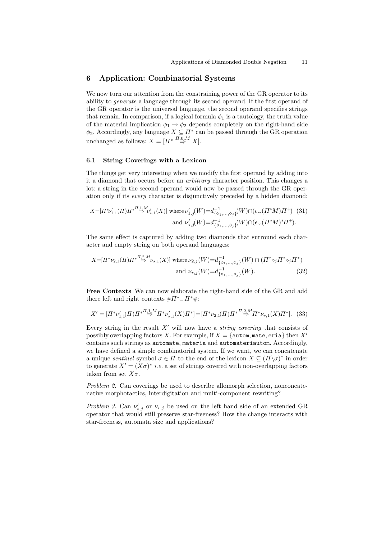# 6 Application: Combinatorial Systems

We now turn our attention from the constraining power of the GR operator to its ability to generate a language through its second operand. If the first operand of the GR operator is the universal language, the second operand specifies strings that remain. In comparison, if a logical formula  $\phi_1$  is a tautology, the truth value of the material implication  $\phi_1 \rightarrow \phi_2$  depends completely on the right-hand side  $\phi_2$ . Accordingly, any language  $X \subseteq \Pi^*$  can be passed through the GR operation unchanged as follows:  $X = \overline{[H^*]} \stackrel{\overline{\overline{H_{,0,M}}}}{\Rightarrow} X$ .

#### 6.1 String Coverings with a Lexicon

The things get very interesting when we modify the first operand by adding into it a diamond that occurs before an arbitrary character position. This changes a lot: a string in the second operand would now be passed through the GR operation only if its every character is disjunctively preceded by a hidden diamond:

$$
X = [H^* \nu'_{1,1}(H) H^{*H} \stackrel{\Pi,1,M}{\Rightarrow} \nu'_{\star,1}(X)] \text{ where } \nu'_{1,j}(W) = d_{\{0_1,\ldots,0_j\}}^{-1}(W) \cap (\epsilon \cup (H^*M)H^+) \tag{31}
$$
  
and 
$$
\nu'_{\star,j}(W) = d_{\{0_1,\ldots,0_j\}}^{-1}(W) \cap (\epsilon \cup (H^*M)^*H^+).
$$

The same effect is captured by adding two diamonds that surround each character and empty string on both operand languages:

$$
X = [II^* \nu_{2,1}(H)II^* \stackrel{\Pi,2,M}{\Rightarrow} \nu_{\star,1}(X)] \text{ where } \nu_{2,j}(W) = d_{\{o_1,\dots,o_j\}}^{-1}(W) \cap (II^* \circ_j II^* \circ_j II^*)
$$
  
and  $\nu_{\star,j}(W) = d_{\{o_1,\dots,o_j\}}^{-1}(W).$  (32)

Free Contexts We can now elaborate the right-hand side of the GR and add there left and right contexts  $# \Pi^* \_ \Pi^* \#$ :

$$
X' = [H^*\nu_{1,1}'(H)H^* \stackrel{\overline{H},1,M}{\Rightarrow} H^*\nu_{\star,1}'(X)H^*] = [H^*\nu_{2,1}(H)H^* \stackrel{\overline{H},2,M}{\Rightarrow} H^*\nu_{\star,1}(X)H^*]. \tag{33}
$$

Every string in the result  $X'$  will now have a *string covering* that consists of possibly overlapping factors X. For example, if  $X = \{$  autom, mate, eria} then  $X'$ contains such strings as automate, materia and automateriautom. Accordingly, we have defined a simple combinatorial system. If we want, we can concatenate a unique sentinel symbol  $\sigma \in \Pi$  to the end of the lexicon  $X \subseteq (\Pi \backslash \sigma)^*$  in order to generate  $X' = (X\sigma)^*$  *i.e.* a set of strings covered with non-overlapping factors taken from set  $X\sigma$ .

Problem 2. Can coverings be used to describe allomorph selection, nonconcatenative morphotactics, interdigitation and multi-component rewriting?

Problem 3. Can  $\nu'_{\star,j}$  or  $\nu_{\star,j}$  be used on the left hand side of an extended GR operator that would still preserve star-freeness? How the change interacts with star-freeness, automata size and applications?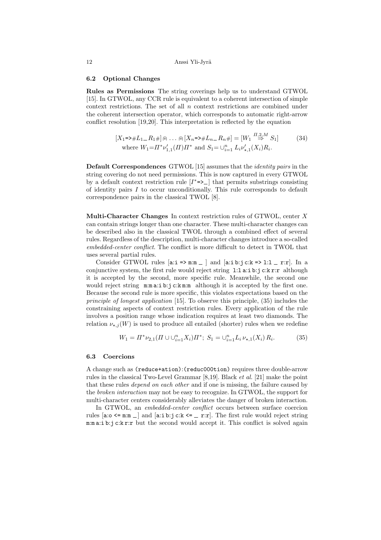#### 6.2 Optional Changes

Rules as Permissions The string coverings help us to understand GTWOL [15]. In GTWOL, any CCR rule is equivalent to a coherent intersection of simple context restrictions. The set of all n context restrictions are combined under the coherent intersection operator, which corresponds to automatic right-arrow conflict resolution [19,20]. This interpretation is reflected by the equation

$$
[X_1 = \frac{\ast}{L_1 - R_1} \mathbb{H}] \oplus \dots \oplus [X_n = \frac{\ast}{L_n - R_n} \mathbb{H}] = [W_1 \stackrel{\prod_{i \geq M} 2M}{\Rightarrow} S_1]
$$
(34)  
where  $W_1 = \prod^* \nu'_{1,1}(H) \prod^* \mathbb{H}$  and  $S_1 = \bigcup_{i=1}^n L_i \nu'_{\star,1}(X_i) R_i$ .

Default Correspondences GTWOL [15] assumes that the identity pairs in the string covering do not need permissions. This is now captured in every GTWOL by a default context restriction rule  $[I^*=\geq]$  that permits substrings consisting of identity pairs I to occur unconditionally. This rule corresponds to default correspondence pairs in the classical TWOL [8].

Multi-Character Changes In context restriction rules of GTWOL, center X can contain strings longer than one character. These multi-character changes can be described also in the classical TWOL through a combined effect of several rules. Regardless of the description, multi-character changes introduce a so-called embedded-center conflict. The conflict is more difficult to detect in TWOL that uses several partial rules.

Consider GTWOL rules  $[a:i \Rightarrow m:m ]$  and  $[a:i \; b:j \; c:k \Rightarrow l:l \; _r:r].$  In a conjunctive system, the first rule would reject string l:l a:i b:j c:k r:r although it is accepted by the second, more specific rule. Meanwhile, the second one would reject string  $m:\text{m} \in \mathbb{R}$ :j c:k $m:\text{m}$  although it is accepted by the first one. Because the second rule is more specific, this violates expectations based on the principle of longest application [15]. To observe this principle, (35) includes the constraining aspects of context restriction rules. Every application of the rule involves a position range whose indication requires at least two diamonds. The relation  $\nu_{\star,j}(W)$  is used to produce all entailed (shorter) rules when we redefine

$$
W_1 = \Pi^* \nu_{2,1}(\Pi \cup \bigcup_{i=1}^n X_i) \Pi^*; \ S_1 = \bigcup_{i=1}^n L_i \nu_{\star,1}(X_i) R_i. \tag{35}
$$

#### 6.3 Coercions

A change such as (reduce+ation):(reduc000tion) requires three double-arrow rules in the classical Two-Level Grammar [8,19]. Black et al. [21] make the point that these rules depend on each other and if one is missing, the failure caused by the broken interaction may not be easy to recognize. In GTWOL, the support for multi-character centers considerably alleviates the danger of broken interaction.

In GTWOL, an embedded-center conflict occurs between surface coercion rules  $[a:o \le m:m]$  and  $[a:i \in i]:c:k \le m-r:r]$ . The first rule would reject string m:m a:i b:j c:k r:r but the second would accept it. This conflict is solved again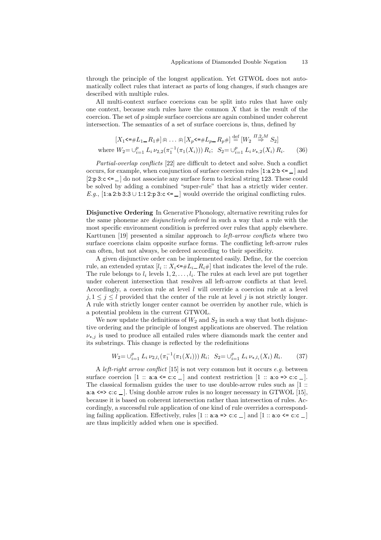through the principle of the longest application. Yet GTWOL does not automatically collect rules that interact as parts of long changes, if such changes are described with multiple rules.

All multi-context surface coercions can be split into rules that have only one context, because such rules have the common  $X$  that is the result of the coercion. The set of p simple surface coercions are again combined under coherent intersection. The semantics of a set of surface coercions is, thus, defined by

$$
[X_1 \leq \#L_1 - R_1 \#] \oplus \dots \oplus [X_p \leq \#L_p - R_p \#] \stackrel{\text{def}}{=} [W_2 \stackrel{\prod_{i} 2, M}{\Rightarrow} S_2]
$$
  
where  $W_2 = \bigcup_{i=1}^p L_i \nu_{2,2} (\pi_1^{-1} (\pi_1 (X_i))) R_i; S_2 = \bigcup_{i=1}^p L_i \nu_{\star,2} (X_i) R_i.$  (36)

Partial-overlap conflicts [22] are difficult to detect and solve. Such a conflict occurs, for example, when conjunction of surface coercion rules  $[1:a 2:b \leq ]$  and [2:p 3:c <= ] do not associate any surface form to lexical string 123. These could be solved by adding a combined "super-rule" that has a strictly wider center. E.g., [1:a 2:b 3:3∪1:1 2:p 3:c <=  $\Box$ ] would override the original conflicting rules.

Disjunctive Ordering In Generative Phonology, alternative rewriting rules for the same phoneme are disjunctively ordered in such a way that a rule with the most specific environment condition is preferred over rules that apply elsewhere. Karttunen [19] presented a similar approach to *left-arrow conflicts* where two surface coercions claim opposite surface forms. The conflicting left-arrow rules can often, but not always, be ordered according to their specificity.

A given disjunctive order can be implemented easily. Define, for the coercion rule, an extended syntax  $[l_i : X_i \leftarrow \# L_i = R_i \#]$  that indicates the level of the rule. The rule belongs to  $l_i$  levels  $1, 2, \ldots, l_i$ . The rules at each level are put together under coherent intersection that resolves all left-arrow conflicts at that level. Accordingly, a coercion rule at level  $l$  will override a coercion rule at a level  $j, 1 \leq j \leq l$  provided that the center of the rule at level j is not strictly longer. A rule with strictly longer center cannot be overriden by another rule, which is a potential problem in the current GTWOL.

We now update the definitions of  $W_2$  and  $S_2$  in such a way that both disjunctive ordering and the principle of longest applications are observed. The relation  $\nu_{\star,i}$  is used to produce all entailed rules where diamonds mark the center and its substrings. This change is reflected by the redefinitions

$$
W_2 = \bigcup_{i=1}^p L_i \, \nu_{2,l_i}(\pi_1^{-1}(\pi_1(X_i))) \, R_i; \, S_2 = \bigcup_{i=1}^p L_i \, \nu_{\star,l_i}(X_i) \, R_i. \tag{37}
$$

A *left-right arrow conflict* [15] is not very common but it occurs  $e.g.$  between surface coercion  $[1 :: a:a \le c:c \_]$  and context restriction  $[1 :: a:o \Rightarrow c:c \_]$ . The classical formalism guides the user to use double-arrow rules such as [1 :: a:a  $\leq$  c:c  $\Box$ . Using double arrow rules is no longer necessary in GTWOL [15], because it is based on coherent intersection rather than intersection of rules. Accordingly, a successful rule application of one kind of rule overrides a corresponding failing application. Effectively, rules  $[1::aa => c:c \_ ]$  and  $[1::a:o \leq c:c \_ ]$ are thus implicitly added when one is specified.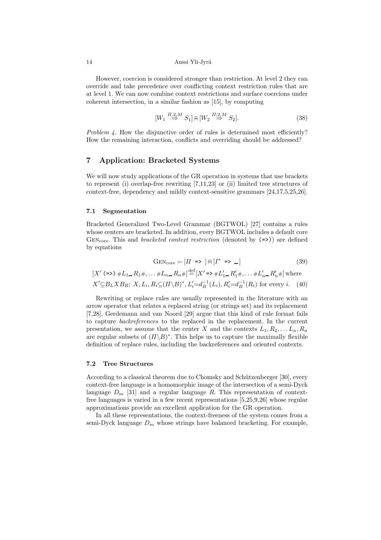However, coercion is considered stronger than restriction. At level 2 they can override and take precedence over conflicting context restriction rules that are at level 1. We can now combine context restrictions and surface coercions under coherent intersection, in a similar fashion as [15], by computing

$$
[W_1 \stackrel{\Pi,2,M}{\Rightarrow} S_1] \oplus [W_2 \stackrel{\Pi,2,M}{\Rightarrow} S_2]. \tag{38}
$$

Problem 4. How the disjunctive order of rules is determined most efficiently? How the remaining interaction, conflicts and overriding should be addressed?

# 7 Application: Bracketed Systems

We will now study applications of the GR operation in systems that use brackets to represent (i) overlap-free rewriting [7,11,23] or (ii) limited tree structures of context-free, dependency and mildly context-sensitive grammars [24,17,5,25,26].

#### 7.1 Segmentation

Bracketed Generalized Two-Level Grammar (BGTWOL) [27] contains a rules whose centers are bracketed. In addition, every BGTWOL includes a default core GEN<sub>core</sub>. This and *bracketed context restriction* (denoted by  $(\Rightarrow)$ ) are defined by equations

$$
GEN_{core} = [II \Rightarrow ] \oplus [I^* \Rightarrow \_]
$$
\n(39)

$$
[X'(-\epsilon) \# L_1 - R_1 \# , \dots \# L_n - R_n \#] \stackrel{\text{def}}{=} [X' = \epsilon \# L'_1 - R'_1 \# , \dots \# L'_n - R'_n \#]
$$
 where  

$$
X' \subseteq B_L X B_R; \ X, L_i, R_i \subseteq (I \setminus B)^*, L'_i = d_B^{-1}(L_i), R'_i = d_B^{-1}(R_i)
$$
 for every *i*. (40)

Rewriting or replace rules are usually represented in the literature with an arrow operator that relates a replaced string (or strings set) and its replacement [7,28]. Gerdemann and van Noord [29] argue that this kind of rule format fails to capture backreferences to the replaced in the replacement. In the current presentation, we assume that the center X and the contexts  $L_1, R_2, \ldots L_n, R_n$ are regular subsets of  $(\Pi \backslash B)^*$ . This helps us to capture the maximally flexible definition of replace rules, including the backreferences and oriented contexts.

#### 7.2 Tree Structures

According to a classical theorem due to Chomsky and Schützenberger [30], every context-free language is a homomorphic image of the intersection of a semi-Dyck language  $D_m$  [31] and a regular language R. This representation of contextfree languages is varied in a few recent representations [5,25,9,26] whose regular approximations provide an excellent application for the GR operation.

In all these representations, the context-freeness of the system comes from a semi-Dyck language  $D_m$  whose strings have balanced bracketing. For example,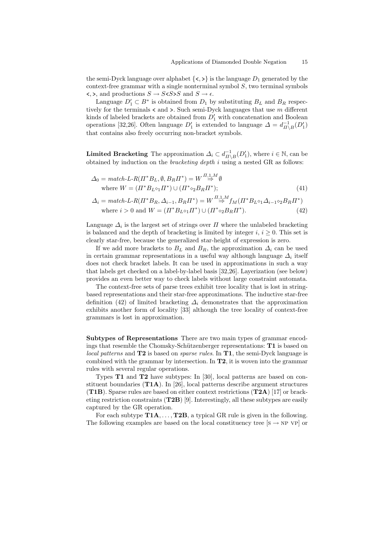the semi-Dyck language over alphabet  $\{<,>\}$  is the language  $D_1$  generated by the  $context-free grammar with a single nonterminal symbol  $S$ , two terminal symbols$  $\langle \xi, \xi \rangle$ , and productions  $S \to S \langle S \rangle S$  and  $S \to \epsilon$ .

Language  $D'_1 \subset B^*$  is obtained from  $D_1$  by substituting  $B_L$  and  $B_R$  respectively for the terminals  $\lt$  and  $\gt$ . Such semi-Dyck languages that use m different kinds of labeled brackets are obtained from  $D'_1$  with concatenation and Boolean operations [32,26]. Often language  $D'_1$  is extended to language  $\Delta = d_{\Pi \setminus B}^{-1}(D'_1)$ that contains also freely occurring non-bracket symbols.

**Limited Bracketing** The approximation  $\Delta_i \subset d_{\Pi \setminus B}^{-1}(D'_1)$ , where  $i \in \mathbb{N}$ , can be obtained by induction on the *bracketing depth*  $i$  using a nested GR as follows:

$$
\Delta_0 = match\text{-}L\text{-}R(\Pi^*B_L, \emptyset, B_R\Pi^*) = W \overset{\Pi_1, \Lambda}{\Rightarrow} \emptyset
$$
  
where  $W = (\Pi^*B_{L^{\diamond}1}\Pi^*) \cup (\Pi^*\text{\circ}_2B_R\Pi^*);$  (41)

$$
\Delta_i = match\text{-}L\text{-}R(\Pi^*B_R, \Delta_{i-1}, B_R\Pi^*) = W \overset{\Pi_{1,1}M}{\Rightarrow} f_M(\Pi^*B_{L^{\diamond}1}\Delta_{i-1^{\diamond}2}B_R\Pi^*)
$$
  
where  $i > 0$  and  $W = (\Pi^*B_{L^{\diamond}1}\Pi^*) \cup (\Pi^* \circ_2 B_R\Pi^*)$ . (42)

Language  $\Delta_i$  is the largest set of strings over  $\Pi$  where the unlabeled bracketing is balanced and the depth of bracketing is limited by integer i,  $i \geq 0$ . This set is clearly star-free, because the generalized star-height of expression is zero.

If we add more brackets to  $B_L$  and  $B_R$ , the approximation  $\Delta_i$  can be used in certain grammar representations in a useful way although language  $\Delta_i$  itself does not check bracket labels. It can be used in approximations in such a way that labels get checked on a label-by-label basis [32,26]. Layerization (see below) provides an even better way to check labels without large constraint automata.

The context-free sets of parse trees exhibit tree locality that is lost in stringbased representations and their star-free approximations. The inductive star-free definition (42) of limited bracketing  $\Delta_i$  demonstrates that the approximation exhibits another form of locality [33] although the tree locality of context-free grammars is lost in approximation.

Subtypes of Representations There are two main types of grammar encodings that resemble the Chomsky-Schützenberger representations:  $T1$  is based on local patterns and T2 is based on *sparse rules*. In T1, the semi-Dyck language is combined with the grammar by intersection. In T2, it is woven into the grammar rules with several regular operations.

Types T1 and T2 have subtypes: In [30], local patterns are based on constituent boundaries  $(T1A)$ . In [26], local patterns describe argument structures (T1B). Sparse rules are based on either context restrictions  $(T2A)$  [17] or bracketing restriction constraints (T2B) [9]. Interestingly, all these subtypes are easily captured by the GR operation.

For each subtype  $\textbf{T1A}, \ldots, \textbf{T2B}$ , a typical GR rule is given in the following. The following examples are based on the local constituency tree  $[s \rightarrow NP \ VP]$  or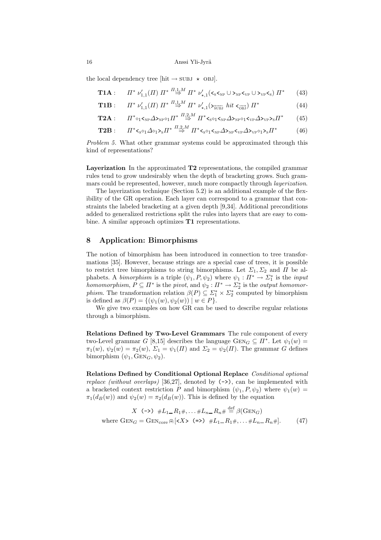the local dependency tree [hit  $\rightarrow$  SUBJ  $\star$  OBJ].

$$
\mathbf{T1A}: \quad \ \ \Pi^* \; \nu_{1,1}'(\Pi) \; \Pi^* \stackrel{\Pi,1,M}{\Rightarrow} \; \Pi^* \; \nu_{\star,1}'( \mathbf{\langle} \mathbf{\langle} \mathbf{\langle} \mathbf{\langle} \mathbf{\langle} \mathbf{\langle} \mathbf{\langle} \mathbf{\langle} \mathbf{\langle} \mathbf{\langle} \mathbf{\langle} \mathbf{\langle} \mathbf{\langle} \mathbf{\langle} \mathbf{\langle} \mathbf{\langle} \mathbf{\langle} \mathbf{\langle} \mathbf{\langle} \mathbf{\langle} \mathbf{\langle} \mathbf{\langle} \mathbf{\langle} \mathbf{\langle} \mathbf{\langle} \mathbf{\langle} \mathbf{\langle} \mathbf{\langle} \mathbf{\langle} \mathbf{\langle} \mathbf{\langle} \mathbf{\langle} \mathbf{\langle} \mathbf{\langle} \mathbf{\langle} \mathbf{\langle} \mathbf{\langle} \mathbf{\langle} \mathbf{\langle} \mathbf{\langle} \mathbf{\langle} \mathbf{\langle} \mathbf{\langle} \mathbf{\langle} \mathbf{\langle} \mathbf{\langle} \mathbf{\langle} \mathbf{\langle} \mathbf{\langle} \mathbf{\langle} \mathbf{\langle} \mathbf{\langle} \mathbf{\langle} \mathbf{\langle} \mathbf{\langle} \mathbf{\langle} \mathbf{\langle} \mathbf{\langle} \mathbf{\langle} \mathbf{\langle} \mathbf{\langle} \mathbf{\langle} \mathbf{\langle} \mathbf{\langle} \mathbf{\langle} \mathbf{\langle} \mathbf{\langle} \mathbf{\langle} \mathbf{\langle} \mathbf{\langle} \mathbf{\langle} \mathbf{\langle} \mathbf{\langle} \mathbf{\langle} \mathbf{\langle} \mathbf{\langle} \mathbf{\langle} \mathbf{\langle} \mathbf{\langle} \mathbf{\langle} \mathbf{\langle} \mathbf{\langle} \mathbf{\langle} \mathbf{\langle} \mathbf{\langle} \mathbf{\langle} \mathbf{\langle} \mathbf{\langle} \mathbf{\langle} \mathbf{\langle} \mathbf{\langle} \mathbf{\langle} \mathbf{\langle} \mathbf{\langle} \mathbf{\langle} \mathbf{\langle} \mathbf{\langle} \mathbf{\langle} \mathbf{\langle} \mathbf{\langle} \mathbf{\langle} \mathbf{\langle} \mathbf{\langle} \mathbf{\langle} \mathbf{\langle} \mathbf{\langle} \mathbf{\langle} \mathbf{\langle} \mathbf{\langle} \mathbf{\langle} \mathbf{\langle} \mathbf{\langle} \mathbf{\langle} \mathbf{\langle} \mathbf{\langle} \mathbf{\langle
$$

**T1B**: 
$$
\Pi^* \nu'_{1,1}(\Pi) \Pi^* \stackrel{\Pi,1,M}{\Rightarrow} \Pi^* \nu'_{\star,1}(\mathbf{S}_{\overline{\text{SUB}}} \text{ hit } \mathbf{S}_{\overline{\text{OB}}} ) \Pi^* \tag{44}
$$

$$
\mathbf{T2A}:\qquad \Pi^*\circ_1\mathbf{I}_{\mathrm{NP}}\Delta\mathbf{I}_{\mathrm{NP}}\circ_1\Pi^*\stackrel{\Pi,2,M}{\Rightarrow}\Pi^*\mathbf{I}_{\mathrm{S}}\circ_1\mathbf{I}_{\mathrm{NP}}\Delta\mathbf{I}_{\mathrm{NP}}\circ_1\mathbf{I}_{\mathrm{VP}}\Delta\mathbf{I}_{\mathrm{VP}}\mathbf{I}_{\mathrm{S}}\tag{45}
$$

$$
\mathbf{T2B}:\qquad \Pi^*<_{S^{\diamond}1}\Delta\circ_1>_{S}\Pi^* \stackrel{\Pi,2,M}{\Rightarrow} \Pi^*<_{S^{\diamond}1}<_{NP}\Delta>_{NP}<_{VP}\Delta>_{VP^{\diamond}1}>_{S}\Pi^* \tag{46}
$$

Problem 5. What other grammar systems could be approximated through this kind of representations?

Layerization In the approximated  $T2$  representations, the compiled grammar rules tend to grow undesirably when the depth of bracketing grows. Such grammars could be represented, however, much more compactly through *layerization*.

The layerization technique (Section 5.2) is an additional example of the flexibility of the GR operation. Each layer can correspond to a grammar that constraints the labeled bracketing at a given depth [9,34]. Additional preconditions added to generalized restrictions split the rules into layers that are easy to combine. A similar approach optimizes **T1** representations.

# 8 Application: Bimorphisms

The notion of bimorphism has been introduced in connection to tree transformations [35]. However, because strings are a special case of trees, it is possible to restrict tree bimorphisms to string bimorphisms. Let  $\Sigma_1, \Sigma_2$  and  $\Pi$  be alphabets. A *bimorphism* is a triple  $(\psi_1, P, \psi_2)$  where  $\psi_1 : \Pi^* \to \Sigma_1^*$  is the *input* homomorphism,  $P \subseteq \Pi^*$  is the pivot, and  $\psi_2 : \Pi^* \to \Sigma^*$  is the output homomor*phism.* The transformation relation  $\beta(P) \subseteq \Sigma_1^* \times \Sigma_2^*$  computed by bimorphism is defined as  $\beta(P) = \{(\psi_1(w), \psi_2(w)) \mid w \in P\}.$ 

We give two examples on how GR can be used to describe regular relations through a bimorphism.

Relations Defined by Two-Level Grammars The rule component of every two-Level grammar G [8,15] describes the language  $G \text{EN}_G \subseteq \Pi^*$ . Let  $\psi_1(w) =$  $\pi_1(w), \psi_2(w) = \pi_2(w), \ \Sigma_1 = \psi_1(\Pi)$  and  $\Sigma_2 = \psi_2(\Pi)$ . The grammar G defines bimorphism  $(\psi_1, \text{GEN}_G, \psi_2)$ .

Relations Defined by Conditional Optional Replace Conditional optional replace (without overlaps) [36,27], denoted by  $(\rightarrow)$ , can be implemented with a bracketed context restriction P and bimorphism  $(\psi_1, P, \psi_2)$  where  $\psi_1(w)$  =  $\pi_1(d_B(w))$  and  $\psi_2(w) = \pi_2(d_B(w))$ . This is defined by the equation

$$
X \quad (-\text{)} \quad \#L_{1-}R_{1}\#, \dots \#L_{n-}R_{n}\# \stackrel{\text{def}}{=} \beta(\text{GEN}_G)
$$
\n
$$
\text{where } \text{GEN}_G = \text{GEN}_{\text{core}} \oplus \{\text{X} < -\text{X} < \text{I}-R_{1}\#, \dots \#L_{n-}R_{n}\}.\tag{47}
$$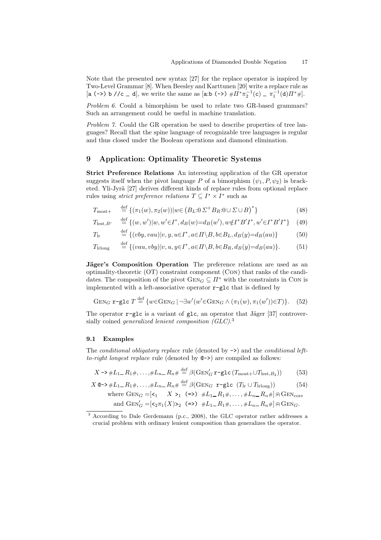Note that the presented new syntax [27] for the replace operator is inspired by Two-Level Grammar [8]. When Beesley and Karttunen [20] write a replace rule as [a (->) b //c \_ d], we write the same as [a:b (->)  $\# \Pi^* \pi_2^{-1}(c) = \pi_1^{-1}(d) \Pi^* \#$ ].

Problem 6. Could a bimorphism be used to relate two GR-based grammars? Such an arrangement could be useful in machine translation.

Problem 7. Could the GR operation be used to describe properties of tree languages? Recall that the spine language of recognizable tree languages is regular and thus closed under the Boolean operations and diamond elimination.

# 9 Application: Optimality Theoretic Systems

Strict Preference Relations An interesting application of the GR operator suggests itself when the pivot language P of a bimorphism  $(\psi_1, P, \psi_2)$  is bracketed. Yli-Jyrä [27] derives different kinds of replace rules from optional replace rules using *strict preference relations*  $T \subseteq I^* \times I^*$  such as

$$
T_{\text{most}+} \stackrel{\text{def}}{=} \{ (\pi_1(w), \pi_2(w)) | w \in (B_L: 0 \Sigma^+ B_R: 0 \cup \Sigma \cup B)^* \}
$$
(48)

$$
T_{\text{lest}, B'} \stackrel{\text{def}}{=} \{ (w, w') | w, w' \in I^*, d_B(w) = d_B(w'), w \notin I^* B' I^*, w' \in I^* B' I^* \} \tag{49}
$$

$$
Tlr \stackrel{\text{def}}{=} \{ (vby, vau) | v, y, u \in I^*, a \in \Pi \setminus B, b \in B_L, d_B(y) = d_B(au) \}
$$
(50)

$$
T_{\text{Irlong}} \stackrel{\text{def}}{=} \{ (vau, vby)|v, u, y \in I^*, a \in \Pi \setminus B, b \in B_R, d_B(y) = d_B(au) \}. \tag{51}
$$

**Jäger's Composition Operation** The preference relations are used as an optimality-theoretic (OT) constraint component (Con) that ranks of the candidates. The composition of the pivot  $GEN_G \subseteq \Pi^*$  with the constraints in Con is implemented with a left-associative operator  $\mathbf{r}$ -glc that is defined by

$$
Gen_G \mathbf{r} \text{-glc } T \stackrel{\text{def}}{=} \{ w \in Gen_G \mid \neg \exists w'(w' \in Gen_G \land (\pi_1(w), \pi_1(w')) \in T) \}. \tag{52}
$$

The operator  $\mathbf{r}$ -glc is a variant of glc, an operator that Jäger [37] controversially coined *generalized lenient composition (GLC)*.<sup>3</sup>

#### 9.1 Examples

The conditional obligatory replace rule (denoted by  $\rightarrow$ ) and the conditional leftto-right longest replace rule (denoted by  $Q \rightarrow$ ) are compiled as follows:

$$
X \rightarrow \#L_1 = R_1 \#, \dots, \#L_n = R_n \# \stackrel{\text{def}}{=} \beta(\text{GEN}_G' \mathbf{r} - \text{glc}(T_{\text{most}} + \cup T_{\text{lest}, B_2})) \tag{53}
$$

$$
X \otimes \rightarrow \#L_{1-}R_{1} \#, \dots, \#L_{n-}R_{n} \# \stackrel{\text{def}}{=} \beta(\text{GEN}_G \ \mathbf{r} - \text{glc} \ (T_{\text{lr}} \cup T_{\text{lrong}})) \tag{54}
$$
\n
$$
\text{where} \ \text{GEN}_G = [\mathbf{r}_1 \quad X \ \mathbf{r}_1 \ (\mathbf{r} > \mathbf{r}_1 \ \mathbf{r}_1 + \dots + \mathbf{r}_{n-} R_{n} \#] \oplus \text{GEN}_{\text{core}}
$$
\n
$$
\text{and} \ \text{GEN}_G' = [\mathbf{r}_2 \pi_1(X) \mathbf{r}_2 \ (\mathbf{r} > \mathbf{r}_1 \ \mathbf{r}_1 + \dots + \mathbf{r}_{n-} R_{n} \#] \oplus \text{GEN}_G.
$$

<sup>3</sup> According to Dale Gerdemann (p.c., 2008), the GLC operator rather addresses a crucial problem with ordinary lenient composition than generalizes the operator.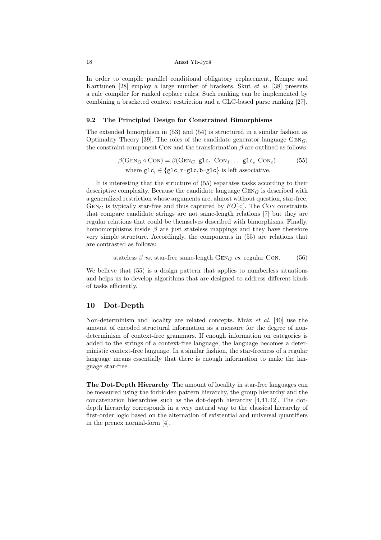In order to compile parallel conditional obligatory replacement, Kempe and Karttunen [28] employ a large number of brackets. Skut et al. [38] presents a rule compiler for ranked replace rules. Such ranking can be implemented by combining a bracketed context restriction and a GLC-based parse ranking [27].

#### 9.2 The Principled Design for Constrained Bimorphisms

The extended bimorphism in (53) and (54) is structured in a similar fashion as Optimality Theory [39]. The roles of the candidate generator language  $GEN<sub>G</sub>$ , the constraint component Con and the transformation  $\beta$  are outlined as follows:

$$
\beta(\text{GEN}_G \circ \text{CON}) = \beta(\text{GEN}_G \text{ glc}_1 \text{ CON}_1 \dots \text{ glc}_c \text{ CON}_c)
$$
(55)  
where 
$$
\text{glc}_i \in \{\text{glc}, \text{r-glc}, \text{b-glc}\} \text{ is left associative.}
$$

It is interesting that the structure of (55) separates tasks according to their descriptive complexity. Because the candidate language  $\text{GEN}_G$  is described with a generalized restriction whose arguments are, almost without question, star-free,  $G \text{EN}_G$  is typically star-free and thus captured by  $FO[\langle]$ . The CON constraints that compare candidate strings are not same-length relations [7] but they are regular relations that could be themselves described with bimorphisms. Finally, homomorphisms inside  $\beta$  are just stateless mappings and they have therefore very simple structure. Accordingly, the components in (55) are relations that are contrasted as follows:

stateless 
$$
\beta
$$
 vs. star-free same-length  $\text{GEN}_G$  vs. regular CON. (56)

We believe that (55) is a design pattern that applies to numberless situations and helps us to develop algorithms that are designed to address different kinds of tasks efficiently.

### 10 Dot-Depth

Non-determinism and locality are related concepts. Mráz et al. [40] use the amount of encoded structural information as a measure for the degree of nondeterminism of context-free grammars. If enough information on categories is added to the strings of a context-free language, the language becomes a deterministic context-free language. In a similar fashion, the star-freeness of a regular language means essentially that there is enough information to make the language star-free.

The Dot-Depth Hierarchy The amount of locality in star-free languages can be measured using the forbidden pattern hierarchy, the group hierarchy and the concatenation hierarchies such as the dot-depth hierarchy [4,41,42]. The dotdepth hierarchy corresponds in a very natural way to the classical hierarchy of first-order logic based on the alternation of existential and universal quantifiers in the prenex normal-form [4].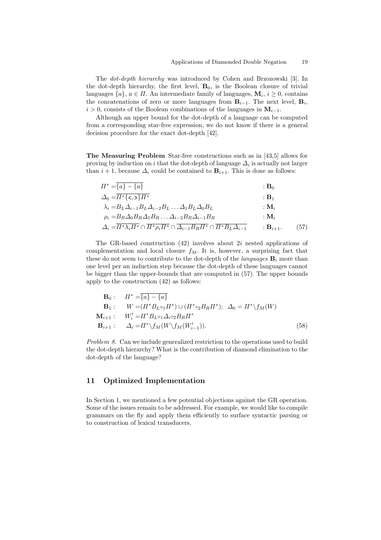The dot-depth hierarchy was introduced by Cohen and Brzozowski [3]. In the dot-depth hierarchy, the first level,  $B_0$ , is the Boolean closure of trivial languages  $\{a\}$ ,  $a \in \Pi$ . An intermediate family of languages,  $\mathbf{M}_i$ ,  $i \geq 0$ , contains the concatenations of zero or more languages from  $B_{i-1}$ . The next level,  $B_i$ ,  $i > 0$ , consists of the Boolean combinations of the languages in  $M_{i-1}$ .

Although an upper bound for the dot-depth of a language can be computed from a corresponding star-free expression, we do not know if there is a general decision procedure for the exact dot-depth [42].

The Measuring Problem Star-free constructions such as in [43,5] allows for proving by induction on i that the dot-depth of language  $\Delta_i$  is actually not larger than  $i + 1$ , because  $\Delta_i$  could be contained to  $\mathbf{B}_{i+1}$ . This is done as follows:

$$
\begin{aligned}\n\Pi^* &= \overline{\{a\} - \{a\}} &\qquad : \mathbf{B}_0 \\
\Delta_0 &= \overline{\Pi^* \{\langle \langle \rangle\} \Pi^*} &\qquad : \mathbf{B}_1 \\
\lambda_i &= B_L \Delta_{i-1} B_L \Delta_{i-2} B_L \dots \Delta_1 B_L \Delta_0 B_L &\qquad : \mathbf{M}_i \\
\rho_i &= B_R \Delta_0 B_R \Delta_1 B_R \dots \Delta_{i-2} B_R \Delta_{i-1} B_R &\qquad : \mathbf{M}_i \\
\Delta_i &= \overline{\Pi^* \lambda_i \Pi^*} \cap \overline{\Pi^* \rho_i \Pi^*} \cap \overline{\Delta_{i-1} B_R \Pi^*} \cap \overline{\Pi^* B_L \Delta_{i-1}} &\qquad : \mathbf{B}_{i+1}.\n\end{aligned}
$$
\n(57)

The GR-based construction  $(42)$  involves about  $2i$  nested applications of complementation and local closure  $f_M$ . It is, however, a surprising fact that these do not seem to contribute to the dot-depth of the *languages*  $\mathbf{B}_i$  more than one level per an induction step because the dot-depth of these languages cannot be bigger than the upper-bounds that are computed in (57). The upper bounds apply to the construction (42) as follows:

$$
\mathbf{B}_0: \quad H^* = \overline{\{a\} - \{a\}}\n\mathbf{B}_1: \quad W = (H^* B_L \circ_1 H^*) \cup (H^* \circ_2 B_R H^*); \quad \Delta_0 = H^* \setminus f_M(W) \n\mathbf{M}_{i+1}: \quad W'_i = H^* B_L \circ_1 \Delta_i \circ_2 B_R H^* \n\mathbf{B}_{i+1}: \quad \Delta_i = H^* \setminus f_M(W \setminus f_M(W'_{i-1})).
$$
\n(58)

Problem 8. Can we include generalized restriction to the operations used to build the dot-depth hierarchy? What is the contribution of diamond elimination to the dot-depth of the language?

# 11 Optimized Implementation

In Section 1, we mentioned a few potential objections against the GR operation. Some of the issues remain to be addressed. For example, we would like to compile grammars on the fly and apply them efficiently to surface syntactic parsing or to construction of lexical transducers.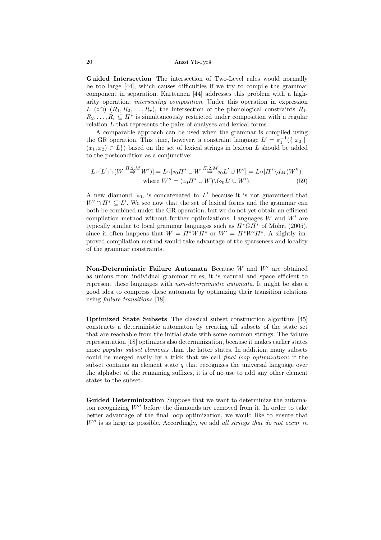Guided Intersection The intersection of Two-Level rules would normally be too large [44], which causes difficulties if we try to compile the grammar component in separation. Karttunen [44] addresses this problem with a higharity operation: intersecting composition. Under this operation in expression  $L(\circ \cap)$   $(R_1, R_2, \ldots, R_r)$ , the intersection of the phonological constraints  $R_1$ ,  $R_2, \ldots, R_r \subseteq \Pi^*$  is simultaneously restricted under composition with a regular relation  $L$  that represents the pairs of analyses and lexical forms.

A comparable approach can be used when the grammar is compiled using the GR operation. This time, however, a constraint language  $L' = \pi_1^{-1}(\{x_2 \mid$  $(x_1,x_2) \in L$ ) based on the set of lexical strings in lexicon L should be added to the postcondition as a conjunctive:

$$
L \circ [L' \cap (W \stackrel{\Pi,2,M}{\Rightarrow} W')] = L \circ [\circ_0 \Pi^* \cup W \stackrel{\Pi,2,M}{\Rightarrow} \circ_0 L' \cup W'] = L \circ [\Pi^* \setminus d_M(W'')]
$$
  
where  $W'' = (\circ_0 \Pi^* \cup W) \setminus (\circ_0 L' \cup W').$  (59)

A new diamond,  $\delta_0$ , is concatenated to L' because it is not guaranteed that  $W' \cap \Pi^* \subseteq L'$ . We see now that the set of lexical forms and the grammar can both be combined under the GR operation, but we do not yet obtain an efficient compilation method without further optimizations. Languages  $W$  and  $W'$  are typically similar to local grammar languages such as  $\pi^* G H^*$  of Mohri (2005), since it often happens that  $W = \Pi^* W \Pi^*$  or  $W' = \Pi^* W' \Pi^*$ . A slightly improved compilation method would take advantage of the sparseness and locality of the grammar constraints.

Non-Deterministic Failure Automata Because  $W$  and  $W'$  are obtained as unions from individual grammar rules, it is natural and space efficient to represent these languages with non-deterministic automata. It might be also a good idea to compress these automata by optimizing their transition relations using failure transitions [18].

Optimized State Subsets The classical subset construction algorithm [45] constructs a deterministic automaton by creating all subsets of the state set that are reachable from the initial state with some common strings. The failure representation [18] optimizes also determinization, because it makes earlier states more *popular subset elements* than the latter states. In addition, many subsets could be merged easily by a trick that we call final loop optimization: if the subset contains an element state  $q$  that recognizes the universal language over the alphabet of the remaining suffixes, it is of no use to add any other element states to the subset.

Guided Determinization Suppose that we want to determinize the automaton recognizing  $W''$  before the diamonds are removed from it. In order to take better advantage of the final loop optimization, we would like to ensure that  $W''$  is as large as possible. Accordingly, we add all strings that do not occur in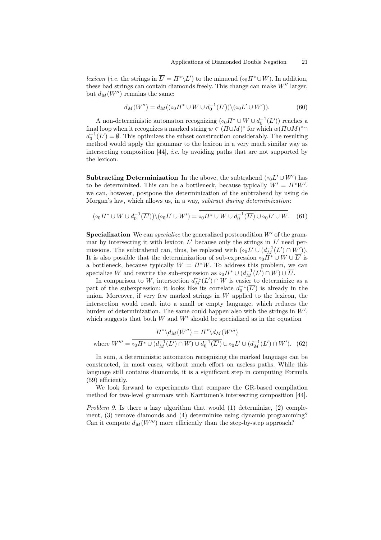*lexicon* (*i.e.* the strings in  $\overline{L'} = \Pi^* \backslash L'$ ) to the minuend ( $\circ_0 \Pi^* \cup W$ ). In addition, these bad strings can contain diamonds freely. This change can make  $W''$  larger, but  $d_M(W'')$  remains the same:

$$
d_M(W'') = d_M((\diamond_0 \Pi^* \cup W \cup d_0^{-1}(\overline{L'})) \setminus (\diamond_0 L' \cup W')).
$$
 (60)

A non-deterministic automaton recognizing  $(\circ_0 \Pi^* \cup W \cup d_0^{-1}(\overline{L'}))$  reaches a final loop when it recognizes a marked string  $w \in (\Pi \cup M)^*$  for which  $w(\Pi \cup M)^* \cap$  $d_0^{-1}(L') = \emptyset$ . This optimizes the subset construction considerably. The resulting method would apply the grammar to the lexicon in a very much similar way as intersecting composition  $[44]$ , *i.e.* by avoiding paths that are not supported by the lexicon.

**Subtracting Determinization** In the above, the subtrahend  $(\circ_0 L' \cup W')$  has to be determinized. This can be a bottleneck, because typically  $W' = \Pi^* W'$ . we can, however, postpone the determinization of the subtrahend by using de Morgan's law, which allows us, in a way, *subtract during determinization*:

$$
(\diamond_0 \Pi^* \cup W \cup d_0^{-1}(\overline{L'})) \setminus (\diamond_0 L' \cup W') = \overline{\diamond_0 \Pi^* \cup W \cup d_0^{-1}(\overline{L'})} \cup \diamond_0 L' \cup W. \quad (61)
$$

**Specialization** We can *specialize* the generalized postcondition  $W'$  of the grammar by intersecting it with lexicon  $L'$  because only the strings in  $L'$  need permissions. The subtrahend can, thus, be replaced with  $({\diamond}_0 L' \cup (d_M^{-1}(L') \cap W'))$ . It is also possible that the determinization of sub-expression  $\circ_0 \Pi^* \cup W \cup \overline{L'}$  is a bottleneck, because typically  $W = \Pi^*W$ . To address this problem, we can specialize W and rewrite the sub-expression as  $\circ_0 \Pi^* \cup (d_M^{-1}(L') \cap W) \cup \overline{L'}$ .

In comparison to W, intersection  $d_M^{-1}(L') \cap W$  is easier to determinize as a part of the subexpression: it looks like its correlate  $d_0^{-1}(\overline{L'})$  is already in the union. Moreover, if very few marked strings in  $W$  applied to the lexicon, the intersection would result into a small or empty language, which reduces the burden of determinization. The same could happen also with the strings in  $W'$ , which suggests that both  $W$  and  $W'$  should be specialized as in the equation

$$
\Pi^* \backslash d_M(W'') = \Pi^* \backslash d_M(\overline{W'''})
$$
  
where 
$$
W''' = \overline{\circ_0 \Pi^* \cup (d_M^{-1}(L') \cap W) \cup d_0^{-1}(\overline{L'})} \cup \overline{\circ_0 L'} \cup (d_M^{-1}(L') \cap W').
$$
 (62)

In sum, a deterministic automaton recognizing the marked language can be constructed, in most cases, without much effort on useless paths. While this language still contains diamonds, it is a significant step in computing Formula (59) efficiently.

We look forward to experiments that compare the GR-based compilation method for two-level grammars with Karttunen's intersecting composition [44].

Problem 9. Is there a lazy algorithm that would (1) determinize, (2) complement, (3) remove diamonds and (4) determinize using dynamic programming? Can it compute  $d_M(\overline{W''})$  more efficiently than the step-by-step approach?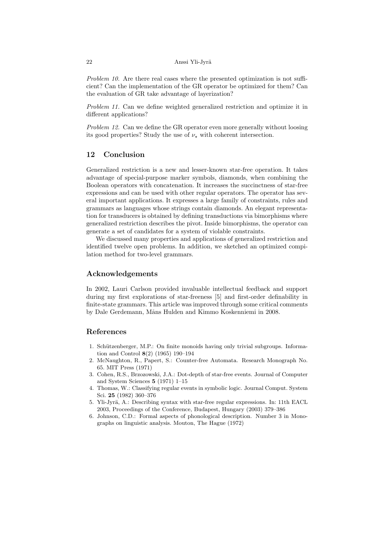Problem 10. Are there real cases where the presented optimization is not sufficient? Can the implementation of the GR operator be optimized for them? Can the evaluation of GR take advantage of layerization?

Problem 11. Can we define weighted generalized restriction and optimize it in different applications?

Problem 12. Can we define the GR operator even more generally without loosing its good properties? Study the use of  $\nu_{\star}$  with coherent intersection.

# 12 Conclusion

Generalized restriction is a new and lesser-known star-free operation. It takes advantage of special-purpose marker symbols, diamonds, when combining the Boolean operators with concatenation. It increases the succinctness of star-free expressions and can be used with other regular operators. The operator has several important applications. It expresses a large family of constraints, rules and grammars as languages whose strings contain diamonds. An elegant representation for transducers is obtained by defining transductions via bimorphisms where generalized restriction describes the pivot. Inside bimorphisms, the operator can generate a set of candidates for a system of violable constraints.

We discussed many properties and applications of generalized restriction and identified twelve open problems. In addition, we sketched an optimized compilation method for two-level grammars.

# Acknowledgements

In 2002, Lauri Carlson provided invaluable intellectual feedback and support during my first explorations of star-freeness [5] and first-order definability in finite-state grammars. This article was improved through some critical comments by Dale Gerdemann, Måns Hulden and Kimmo Koskenniemi in 2008.

# References

- 1. Schützenberger, M.P.: On finite monoids having only trivial subgroups. Information and Control 8(2) (1965) 190–194
- 2. McNaughton, R., Papert, S.: Counter-free Automata. Research Monograph No. 65. MIT Press (1971)
- 3. Cohen, R.S., Brzozowski, J.A.: Dot-depth of star-free events. Journal of Computer and System Sciences 5 (1971) 1–15
- 4. Thomas, W.: Classifying regular events in symbolic logic. Journal Comput. System Sci. 25 (1982) 360–376
- 5. Yli-Jyrä, A.: Describing syntax with star-free regular expressions. In: 11th EACL 2003, Proceedings of the Conference, Budapest, Hungary (2003) 379–386
- 6. Johnson, C.D.: Formal aspects of phonological description. Number 3 in Monographs on linguistic analysis. Mouton, The Hague (1972)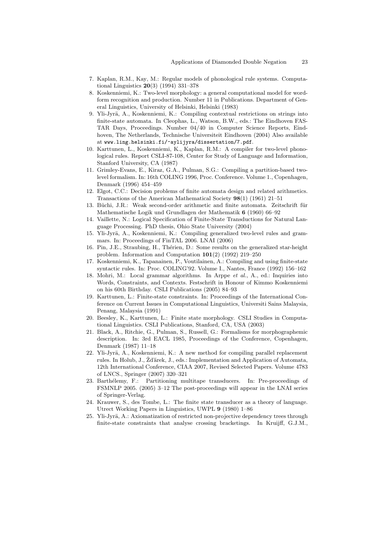- 7. Kaplan, R.M., Kay, M.: Regular models of phonological rule systems. Computational Linguistics 20(3) (1994) 331–378
- 8. Koskenniemi, K.: Two-level morphology: a general computational model for wordform recognition and production. Number 11 in Publications. Department of General Linguistics, University of Helsinki, Helsinki (1983)
- 9. Yli-Jyrä, A., Koskenniemi, K.: Compiling contextual restrictions on strings into finite-state automata. In Cleophas, L., Watson, B.W., eds.: The Eindhoven FAS-TAR Days, Proceedings. Number 04/40 in Computer Science Reports, Eindhoven, The Netherlands, Technische Universiteit Eindhoven (2004) Also available at www.ling.helsinki.fi/~aylijyra/dissertation/7.pdf.
- 10. Karttunen, L., Koskenniemi, K., Kaplan, R.M.: A compiler for two-level phonological rules. Report CSLI-87-108, Center for Study of Language and Information, Stanford University, CA (1987)
- 11. Grimley-Evans, E., Kiraz, G.A., Pulman, S.G.: Compiling a partition-based twolevel formalism. In: 16th COLING 1996, Proc. Conference. Volume 1., Copenhagen, Denmark (1996) 454–459
- 12. Elgot, C.C.: Decision problems of finite automata design and related arithmetics. Transactions of the American Mathematical Society 98(1) (1961) 21–51
- 13. Büchi, J.R.: Weak second-order arithmetic and finite automata. Zeitschrift für Mathematische Logik und Grundlagen der Mathematik 6 (1960) 66–92
- 14. Vaillette, N.: Logical Specification of Finite-State Transductions for Natural Language Processing. PhD thesis, Ohio State University (2004)
- 15. Yli-Jyrä, A., Koskenniemi, K.: Compiling generalized two-level rules and grammars. In: Proceedings of FinTAL 2006. LNAI (2006)
- 16. Pin, J.E., Straubing, H., Thérien, D.: Some results on the generalized star-height problem. Information and Computation 101(2) (1992) 219–250
- 17. Koskenniemi, K., Tapanainen, P., Voutilainen, A.: Compiling and using finite-state syntactic rules. In: Proc. COLING'92. Volume I., Nantes, France (1992) 156–162
- 18. Mohri, M.: Local grammar algorithms. In Arppe et al., A., ed.: Inquiries into Words, Constraints, and Contexts. Festschrift in Honour of Kimmo Koskenniemi on his 60th Birthday. CSLI Publications (2005) 84–93
- 19. Karttunen, L.: Finite-state constraints. In: Proceedings of the International Conference on Current Issues in Computational Linguistics, Universiti Sains Malaysia, Penang, Malaysia (1991)
- 20. Beesley, K., Karttunen, L.: Finite state morphology. CSLI Studies in Computational Linguistics. CSLI Publications, Stanford, CA, USA (2003)
- 21. Black, A., Ritchie, G., Pulman, S., Russell, G.: Formalisms for morphographemic description. In: 3rd EACL 1985, Proceedings of the Conference, Copenhagen, Denmark (1987) 11–18
- 22. Yli-Jyrä, A., Koskenniemi, K.: A new method for compiling parallel replacement rules. In Holub, J., Ždǎrek, J., eds.: Implementation and Application of Automata, 12th International Conference, CIAA 2007, Revised Selected Papers. Volume 4783 of LNCS., Springer (2007) 320–321
- 23. Barthélemy, F.: Partitioning multitape transducers. In: Pre-proceedings of FSMNLP 2005. (2005) 3–12 The post-proceedings will appear in the LNAI series of Springer-Verlag.
- 24. Krauwer, S., des Tombe, L.: The finite state transducer as a theory of language. Utrect Working Papers in Linguistics, UWPL 9 (1980) 1–86
- 25. Yli-Jyrä, A.: Axiomatization of restricted non-projective dependency trees through finite-state constraints that analyse crossing bracketings. In Kruijff, G.J.M.,